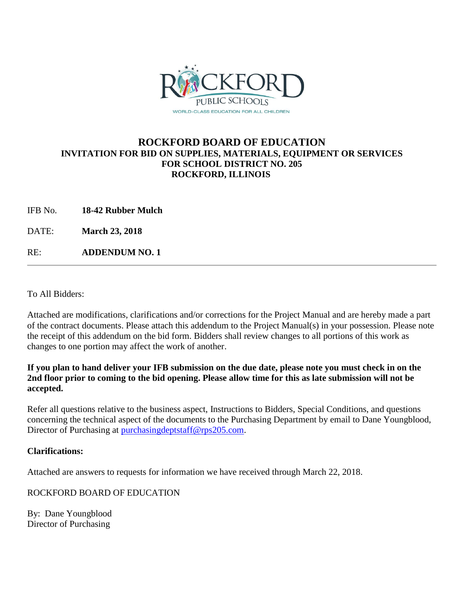

## **ROCKFORD BOARD OF EDUCATION INVITATION FOR BID ON SUPPLIES, MATERIALS, EQUIPMENT OR SERVICES FOR SCHOOL DISTRICT NO. 205 ROCKFORD, ILLINOIS**

IFB No. **18-42 Rubber Mulch**

DATE: **March 23, 2018**

RE: **ADDENDUM NO. 1**

To All Bidders:

Attached are modifications, clarifications and/or corrections for the Project Manual and are hereby made a part of the contract documents. Please attach this addendum to the Project Manual(s) in your possession. Please note the receipt of this addendum on the bid form. Bidders shall review changes to all portions of this work as changes to one portion may affect the work of another.

## **If you plan to hand deliver your IFB submission on the due date, please note you must check in on the 2nd floor prior to coming to the bid opening. Please allow time for this as late submission will not be accepted.**

Refer all questions relative to the business aspect, Instructions to Bidders, Special Conditions, and questions concerning the technical aspect of the documents to the Purchasing Department by email to Dane Youngblood, Director of Purchasing at [purchasingdeptstaff@rps205.com.](mailto:purchasingdeptstaff@rps205.com)

## **Clarifications:**

Attached are answers to requests for information we have received through March 22, 2018.

ROCKFORD BOARD OF EDUCATION

By: Dane Youngblood Director of Purchasing